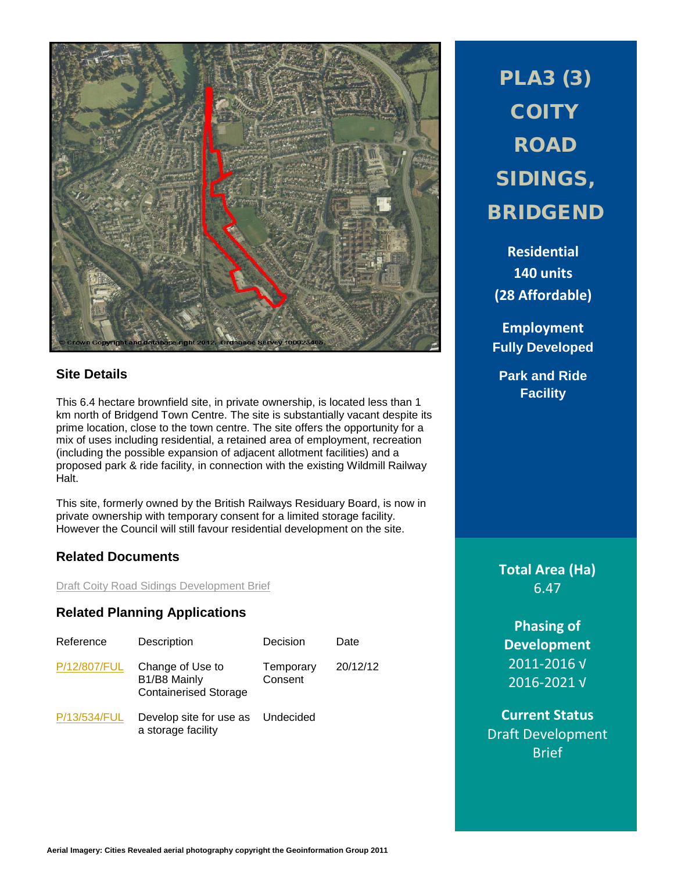## **Site Details**

This 6.4 hectare brownfield site, in private ownership, is located less than 1 km north of Bridgend Town Centre. The site is substantially vacant despite its prime location, close to the town centre. The site offers the opportunity for a mix of uses including residential, a retained area of employment, recreation (including the possible expansion of adjacent allotment facilities) and a proposed park & ride facility, in connection with the existing Wildmill Railway Halt.

This site, formerly owned by the British Railways Residuary Board, is now in private ownership with temporary consent for a limited storage facility. However the Council will still favour residential development on the site.

## **Related Documents**

[Draft Coity Road Sidings Development](http://www1.bridgend.gov.uk/media/319665/coity-sidings-development-brief.pdf) Brief

#### **Related Planning Applications**

| Reference    | Description                                                      | Decision             | Date     |
|--------------|------------------------------------------------------------------|----------------------|----------|
| P/12/807/FUL | Change of Use to<br>B1/B8 Mainly<br><b>Containerised Storage</b> | Temporary<br>Consent | 20/12/12 |
| P/13/534/FUL | Develop site for use as<br>a storage facility                    | Undecided            |          |

PLA3 (3) **COITY** ROAD SIDINGS, BRIDGEND

**Residential 140 units (28 Affordable)**

**Employment Fully Developed**

**Park and Ride Facility**

**Total Area (Ha)** 6.47

**Phasing of Development** 2011-2016 √ 2016-2021 √

**Current Status** Draft Development **Brief**